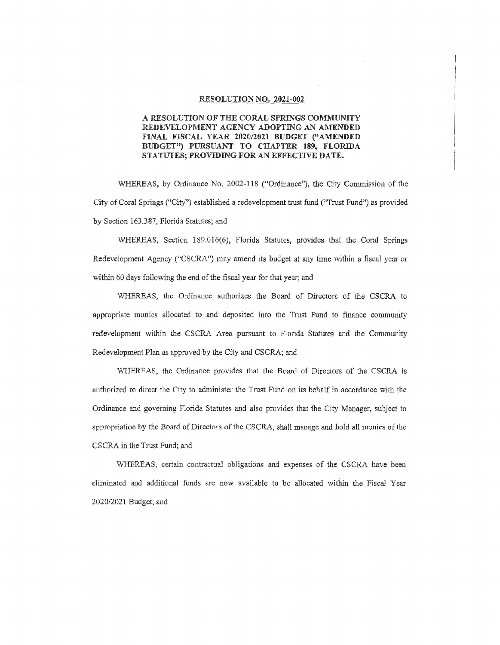#### RESOLUTION NO. 2021-002

### A RESOLUTION OF THE CORAL SPRINGS COMMUNITY REDEVELOPMENT AGENCY ADOPTING AN AMENDED FINAL FISCAL YEAR 2020/2021 BUDGET ("AMENDED BUDGET") PURSUANT TO CHAPTER 189, FLORIDA STATUTES; PROVIDING FOR AN EFFECTIVE DATE.

WHEREAS, by Ordinance No. 2002-118 ("Ordinance"), the City Commission of the City of Coral Springs ("City") established a redevelopment trust fund ("Trust Fund") as provided by Section 163.387, Florida Statutes; and

WHEREAS, Section 189.016(6), Florida Statutes, provides that the Coral Springs Redevelopment Agency ("CSCRA") may amend its budget at any time within a fiscal year or within 60 days following the end of the fiscal year for that year; and

WHEREAS, the Ordinance authorizes the Board of Directors of the CSCRA to appropriate monies allocated to and deposited into the Trust Fund to finance community redevelopment within the CSCRA Area pursuant to Florida Statutes and the Community Redevelopment Plan as approved by the City and CSCRA; and

WHEREAS, the Ordinance provides that the Board of Directors of the CSCRA is authorized to direct the City to administer ihe Trust Fund on its behalf in accordance with the Ordinance and governing Florida Statutes and also provides that the City Manager, subject to appropriation by the Board of Directors of the CSCRA, shall manage and hold all monies of the CSCRA in the Trust Fund; and

WHEREAS, certain contractual obligations and expenses of the CSCRA have been eliminated and additional funds are now available to be allocated within the Fiscal Year 2020/2021 Budget; and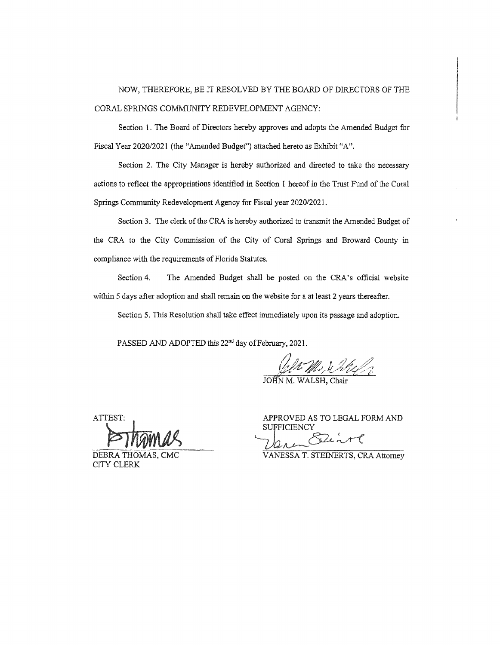# NOW, THEREFORE, BE IT RESOLVED BY THE BOARD OF DIRECTORS OF THE CORAL SPRINGS COMMUNITY REDEVELOPMENT AGENCY:

Section 1. The Board of Directors hereby approves and adopts the Amended Budget for Fiscal Year 2020/2021 (the "Amended Budget") attached hereto as Exhibit "A".

Section 2. The City Manager is hereby authorized and directed to take the necessary actions to reflect the appropriations identified in Section I hereof in the Trust Fund of the Coral Springs Community Redevelopment Agency for Fiscal year 2020/2021.

Section 3. The clerk of the CRA is hereby authorized to transmit the Amended Budget of the CRA to the City Commission of the City of Coral Springs and Broward County in compliance with the requirements of Florida Statutes.

Section 4. The Amended Budget shall be posted on the CRA's official website within 5 days after adoption and shall remain on the website for a at least 2 years thereafter.

Section 5. This Resolution shall take effect immediately upon its passage and adoption.

PASSED AND ADOPTED this 22<sup>nd</sup> day of February, 2021.

*left M., & bleft.* 

JOHN M. WALSH, Chair

ATTEST:

DEBRA THOMA CITY CLERK

APPROVED AS TO LEGAL FORM AND **SUFFICIENCY** 

 $7a^{-\alpha}$ 

VANESSA T. STEINERTS, CRA Attorney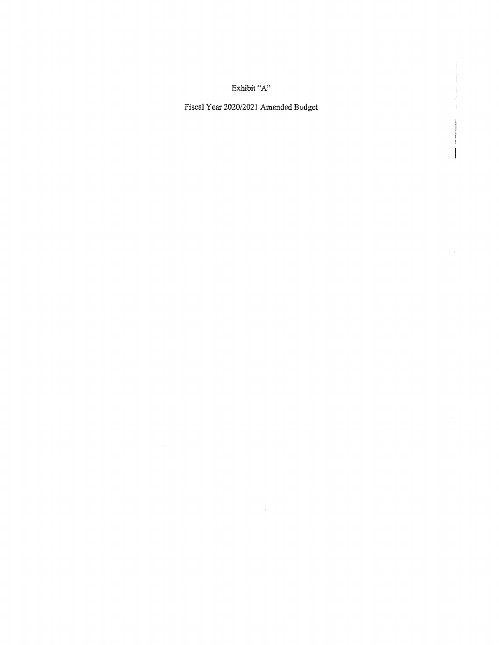Exhibit "A"

Fiscal Year 2020/2021 Amended Budget

 $\bar{\mathcal{A}}$